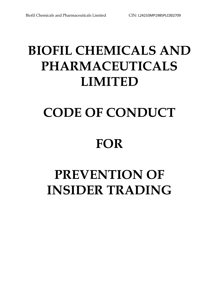# **BIOFIL CHEMICALS AND PHARMACEUTICALS LIMITED**

# **CODE OF CONDUCT**

# **FOR**

# **PREVENTION OF INSIDER TRADING**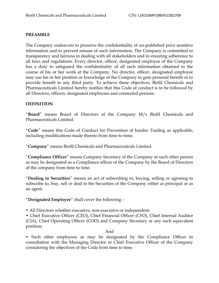#### **PREAMBLE**

The Company endeavors to preserve the confidentiality of un-published price sensitive information and to prevent misuse of such information. The Company is committed to transparency and fairness in dealing with all stakeholders and in ensuring adherence to all laws and regulations. Every director, officer, designated employee of the Company has a duty to safeguard the confidentiality of all such information obtained in the course of his or her work at the Company. No director, officer, designated employee may use his or her position or knowledge of the Company to gain personal benefit or to provide benefit to any third party. To achieve these objectives, Biofil Chemicals and Pharmaceuticals Limited hereby notifies that this Code of conduct is to be followed by all Directors, officers, designated employees and connected persons.

## **DEFINITION**

"**Board**" means Board of Directors of the Company M/s Biofil Chemicals and Pharmaceuticals Limited.

"**Code**" means this Code of Conduct for Prevention of Insider Trading as applicable, including modifications made thereto from time-to-time.

"**Company**" means Biofil Chemicals and Pharmaceuticals Limited.

"**Compliance Officer**" means Company Secretary of the Company or such other person as may be designated as a Compliance officer of the Company by the Board of Directors of the company from time to time.

"**Dealing in Securities**" means an act of subscribing to, buying, selling or agreeing to subscribe to, buy, sell or deal in the Securities of the Company either as principal or as an agent.

"**Designated Employee**" shall cover the following: -

• All Directors whether executive, non-executive or independent;

• Chief Executive Officer (CEO), Chief Financial Officer (CFO), Chief Internal Auditor (CIA), Chief Operating Officer (COO) and Company Secretary or any such equivalent position;

#### And

• Such other employees as may be designated by the Compliance Officer in consultation with the Managing Director or Chief Executive Officer of the Company considering the objectives of the Code from time to time.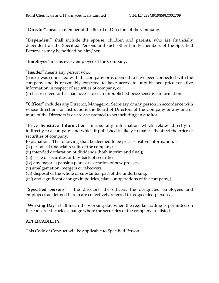"**Director**" means a member of the Board of Directors of the Company.

"**Dependent**" shall include the spouse, children and parents, who are financially dependent on the Specified Persons and such other family members of the Specified Persons as may be notified by him/her.

"**Employee**" means every employee of the Company.

"**Insider**" means any person who,

(i) is or was connected with the company or is deemed to have been connected with the company and is reasonably expected to have access to unpublished price sensitive information in respect of securities of company, or

(ii) has received or has had access to such unpublished price sensitive information.

**"Officer"** includes any Director, Manager or Secretary or any person in accordance with whose directions or instructions the Board of Directors of the Company or any one or more of the Directors is or are accustomed to act including an auditor.

"**Price Sensitive Information**" means any information which relates directly or indirectly to a company and which if published is likely to materially affect the price of securities of company.

Explanation:- The following shall be deemed to be price sensitive information:  $-$ 

(i) periodical financial results of the company;

- (ii) intended declaration of dividends (both interim and final);
- (iii) issue of securities or buy-back of securities;
- (iv) any major expansion plans or execution of new projects.
- (v) amalgamation, mergers or takeovers;
- (vi) disposal of the whole or substantial part of the undertaking;
- (*vii*) and significant changes in policies, plans or operations of the company;]

"**Specified persons**" - the directors, the officers, the designated employees and employees ae defined herein are collectively referred to as specified persons.

"**Working Day**" shall mean the working day when the regular trading is permitted on the concerned stock exchange where the securities of the company are listed.

# **APPLICABILITY:**

This Code of Conduct will be applicable to Specified Person.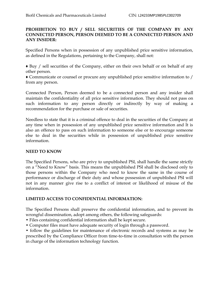# **PROHIBITION TO BUY / SELL SECURITIES OF THE COMPANY BY ANY CONNECTED PERSON, PERSON DEEMED TO BE A CONNECTED PERSON AND ANY INSIDER:**

Specified Persons when in possession of any unpublished price sensitive information, as defined in the Regulations, pertaining to the Company, shall not:

♦ Buy / sell securities of the Company, either on their own behalf or on behalf of any other person.

♦ Communicate or counsel or procure any unpublished price sensitive information to / from any person.

Connected Person, Person deemed to be a connected person and any insider shall maintain the confidentiality of all price sensitive information. They should not pass on such information to any person directly or indirectly by way of making a recommendation for the purchase or sale of securities.

Needless to state that it is a criminal offence to deal in the securities of the Company at any time when in possession of any unpublished price sensitive information and It is also an offence to pass on such information to someone else or to encourage someone else to deal in the securities while in possession of unpublished price sensitive information.

# **NEED TO KNOW**

The Specified Persons, who are privy to unpublished PSI, shall handle the same strictly on a "Need to Know" basis. This means the unpublished PSI shall be disclosed only to those persons within the Company who need to know the same in the course of performance or discharge of their duty and whose possession of unpublished PSI will not in any manner give rise to a conflict of interest or likelihood of misuse of the information.

#### **LIMITED ACCESS TO CONFIDENTIAL INFORMATION:**

The Specified Persons shall preserve the confidential information, and to prevent its wrongful dissemination, adopt among others, the following safeguards:

- Files containing confidential information shall be kept secure.
- Computer files must have adequate security of login through a password.

• follow the guidelines for maintenance of electronic records and systems as may be prescribed by the Compliance Officer from time-to-time in consultation with the person in charge of the information technology function.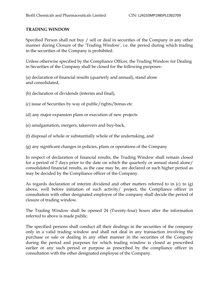# **TRADING WINDOW**

Specified Person shall not buy / sell or deal in securities of the Company in any other manner during Closure of the "Trading Window", i.e. the period during which trading in the securities of the Company is prohibited.

Unless otherwise specified by the Compliance Officer, the Trading Window for Dealing in Securities of the Company shall be closed for the following purposes-

(a) declaration of financial results (quarterly and annual), stand alone and consolidated,

(b) declaration of dividends (interim and final),

- (c) issue of Securities by way of public/rights/bonus etc
- (d) any major expansion plans or execution of new projects
- (e) amalgamation, mergers, takeovers and buy-back,
- (f) disposal of whole or substantially whole of the undertaking, and
- (g) any significant changes in policies, plans or operations of the Company

In respect of declaration of financial results, the Trading Window shall remain closed for a period of 7 days prior to the date on which the quarterly or annual stand alone/ consolidated financial results, as the case may be, are declared or such higher period as may be decided by the Compliance officer of the Company.

As regards declaration of interim dividend and other matters referred to in (c) to (g) above, well before initiation of such activity/ project, the Compliance officer in consultation with other designated employee of the company shall decide the period of closure of trading window.

The Trading Window shall be opened 24 (Twenty-four) hours after the information referred to above is made public.

The specified persons shall conduct all their dealings in the securities of the company only in a valid trading window and shall not deal in any transaction involving the purchase or sale or dealing in any other manner in the securities of the Company during the period and purposes for which trading window is closed as prescribed earlier or any such period or purpose as prescribed by the compliance officer in consultation with the other designated employee of the Company.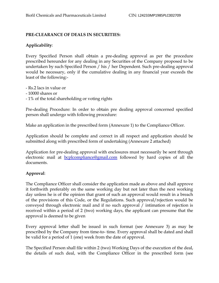# **PRE-CLEARANCE OF DEALS IN SECURITIES:**

# **Applicability**:

Every Specified Person shall obtain a pre-dealing approval as per the procedure prescribed hereunder for any dealing in any Securities of the Company proposed to be undertaken by such Specified Person / his / her Dependent. Such pre-dealing approval would be necessary, only if the cumulative dealing in any financial year exceeds the least of the following:-

- Rs.2 lacs in value or
- 10000 shares or
- 1% of the total shareholding or voting rights

Pre-dealing Procedure: In order to obtain pre dealing approval concerned specified person shall undergo with following procedure:

Make an application in the prescribed form (Annexure 1) to the Compliance Officer.

Application should be complete and correct in all respect and application should be submitted along with prescribed form of undertaking (Annexure 2 attached)

Application for pre-dealing approval with enclosures must necessarily be sent through electronic mail at **[bcplcompliance@gmail.com](mailto:bcplcompliance@gmail.com)** followed by hard copies of all the documents.

# **Approval**:

The Compliance Officer shall consider the application made as above and shall approve it forthwith preferably on the same working day but not later than the next working day unless he is of the opinion that grant of such an approval would result in a breach of the provisions of this Code, or the Regulations. Such approval/rejection would be conveyed through electronic mail and if no such approval / intimation of rejection is received within a period of 2 (two) working days, the applicant can presume that the approval is deemed to be given

Every approval letter shall be issued in such format (see Annexure 3) as may be prescribed by the Company from time-to- time. Every approval shall be dated and shall be valid for a period of 1 (one) week from the date of approval.

The Specified Person shall file within 2 (two) Working Days of the execution of the deal, the details of such deal, with the Compliance Officer in the prescribed form (see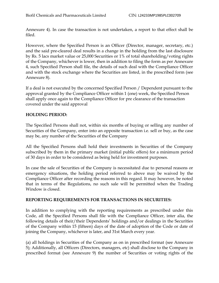Annexure 4). In case the transaction is not undertaken, a report to that effect shall be filed.

However, where the Specified Person is an Officer (Director, manager, secretary, etc.) and the said pre-cleared deal results in a change in the holding from the last disclosure by Rs. 5 lacs market value or 25,000 Securities or 1% of total shareholding/voting rights of the Company, whichever is lower, then in addition to filing the form as per Annexure 4, such Specified Person shall file, the details of such deal with the Compliance Officer and with the stock exchange where the Securities are listed, in the prescribed form (see Annexure 8).

If a deal is not executed by the concerned Specified Person / Dependent pursuant to the approval granted by the Compliance Officer within 1 (one) week, the Specified Person shall apply once again to the Compliance Officer for pre clearance of the transaction covered under the said approval

# **HOLDING PERIOD:**

The Specified Persons shall not, within six months of buying or selling any number of Securities of the Company, enter into an opposite transaction i.e. sell or buy, as the case may be, any number of the Securities of the Company

All the Specified Persons shall hold their investments in Securities of the Company subscribed by them in the primary market (initial public offers) for a minimum period of 30 days in order to be considered as being held for investment purposes.

In case the sale of Securities of the Company is necessitated due to personal reasons or emergency situations, the holding period referred to above may be waived by the Compliance Officer after recording the reasons in this regard. It may however, be noted that in terms of the Regulations, no such sale will be permitted when the Trading Window is closed.

#### **REPORTING REQUIREMENTS FOR TRANSACTIONS IN SECURITIES:**

In addition to complying with the reporting requirements as prescribed under this Code, all the Specified Persons shall file with the Compliance Officer, inter alia, the following details of their/their Dependents' holdings and/or dealings in the Securities of the Company within 15 (fifteen) days of the date of adoption of the Code or date of joining the Company, whichever is later, and 31st March every year.

(a) all holdings in Securities of the Company as on in prescribed format (see Annexure 5); Additionally, all Officers (Directors, managers, etc) shall disclose to the Company in prescribed format (see Annexure 9) the number of Securities or voting rights of the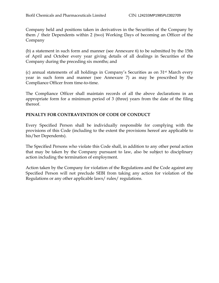Company held and positions taken in derivatives in the Securities of the Company by them / their Dependents within 2 (two) Working Days of becoming an Officer of the Company

(b) a statement in such form and manner (see Annexure 6) to be submitted by the 15th of April and October every year giving details of all dealings in Securities of the Company during the preceding six months; and

(c) annual statements of all holdings in Company"s Securities as on 31st March every year in such form and manner (see Annexure 7) as may be prescribed by the Compliance Officer from time-to-time.

The Compliance Officer shall maintain records of all the above declarations in an appropriate form for a minimum period of 3 (three) years from the date of the filing thereof.

# **PENALTY FOR CONTRAVENTION OF CODE OF CONDUCT**

Every Specified Person shall be individually responsible for complying with the provisions of this Code (including to the extent the provisions hereof are applicable to his/her Dependents).

The Specified Persons who violate this Code shall, in addition to any other penal action that may be taken by the Company pursuant to law, also be subject to disciplinary action including the termination of employment.

Action taken by the Company for violation of the Regulations and the Code against any Specified Person will not preclude SEBI from taking any action for violation of the Regulations or any other applicable laws/ rules/ regulations.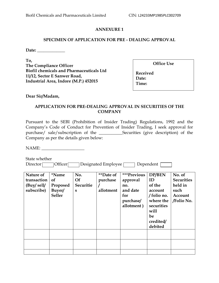#### **SPECIMEN OF APPLICATION FOR PRE - DEALING APPROVAL**

**Date: \_\_\_\_\_\_\_\_\_\_\_\_\_**

**To, The Compliance Officer Biofil chemicals and Pharmaceuticals Ltd 11/12, Sector E Sanwer Road, Industrial Area, Indore (M.P.) 452015**

**Office Use** 

**Received Date: Time:** 

**Dear Sir/Madam,**

# **APPLICATION FOR PRE-DEALING APPROVAL IN SECURITIES OF THE COMPANY**

Pursuant to the SEBI (Prohibition of Insider Trading) Regulations, 1992 and the Company"s Code of Conduct for Prevention of Insider Trading, I seek approval for purchase/ sale/subscription of the \_\_\_\_\_\_\_\_\_\_\_Securities (give description) of the Company as per the details given below:

NAME:

State whether Director Officer Designated Employee Dependent

| Nature of<br>transaction<br>$(Buy/$ sell/<br>subscribe) | <i>*Name</i><br><sub>of</sub><br>Proposed<br>Buyer/<br><b>Seller</b> | No.<br><b>Of</b><br>Securitie<br>S | <i>**</i> Date of<br>purchase<br>allotment | ***Previous<br>approval<br>no.<br>and date<br>for<br>purchase/<br>allotment) | DP/BEN<br>ID<br>of the<br>account<br>/ folio no.<br>where the<br>securities<br>will<br>be<br>credited/<br>debited | No. of<br><b>Securities</b><br>held in<br>such<br>Account<br>/Folio No. |
|---------------------------------------------------------|----------------------------------------------------------------------|------------------------------------|--------------------------------------------|------------------------------------------------------------------------------|-------------------------------------------------------------------------------------------------------------------|-------------------------------------------------------------------------|
|                                                         |                                                                      |                                    |                                            |                                                                              |                                                                                                                   |                                                                         |
|                                                         |                                                                      |                                    |                                            |                                                                              |                                                                                                                   |                                                                         |
|                                                         |                                                                      |                                    |                                            |                                                                              |                                                                                                                   |                                                                         |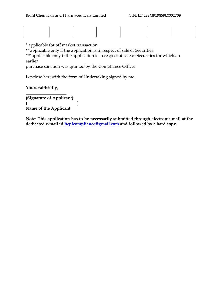\* applicable for off market transaction

\*\* applicable only if the application is in respect of sale of Securities

\*\*\* applicable only if the application is in respect of sale of Securities for which an earlier

purchase sanction was granted by the Compliance Officer

I enclose herewith the form of Undertaking signed by me.

**Yours faithfully,**

**\_\_\_\_\_\_\_\_\_\_\_\_\_\_\_\_\_\_\_**

**(Signature of Applicant) ( ) Name of the Applicant** 

**Note: This application has to be necessarily submitted through electronic mail at the dedicated e-mail id [bcplcompliance@gmail.com](mailto:bcplcompliance@gmail.com) and followed by a hard copy.**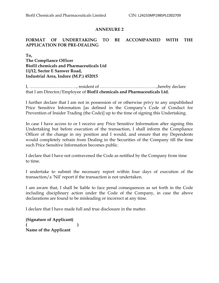## **FORMAT OF UNDERTAKING TO BE ACCOMPANIED WITH THE APPLICATION FOR PRE-DEALING**

**To, The Compliance Officer Biofil chemicals and Pharmaceuticals Ltd 11/12, Sector E Sanwer Road, Industrial Area, Indore (M.P.) 452015**

I, ……………………………, resident of ………………………………….,hereby declare that I am Director/Employee of **Biofil chemicals and Pharmaceuticals Ltd.** 

I further declare that I am not in possession of or otherwise privy to any unpublished Price Sensitive Information [as defined in the Company's Code of Conduct for Prevention of Insider Trading (the Code)] up to the time of signing this Undertaking.

In case I have access to or I receive any Price Sensitive Information after signing this Undertaking but before execution of the transaction, I shall inform the Compliance Officer of the change in my position and I would, and ensure that my Dependents would completely refrain from Dealing in the Securities of the Company till the time such Price Sensitive Information becomes public.

I declare that I have not contravened the Code as notified by the Company from time to time.

I undertake to submit the necessary report within four days of execution of the transaction/a "Nil" report if the transaction is not undertaken.

I am aware that, I shall be liable to face penal consequences as set forth in the Code including disciplinary action under the Code of the Company, in case the above declarations are found to be misleading or incorrect at any time.

I declare that I have made full and true disclosure in the matter.

**(Signature of Applicant) ( ) Name of the Applicant**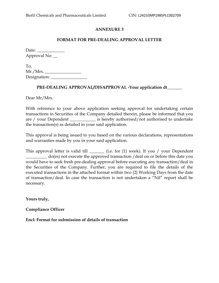#### **FORMAT FOR PRE-DEALING APPROVAL LETTER**

Date: \_\_\_\_\_\_\_\_\_\_\_\_\_ Approval No:  $\_\_$ 

To, Mr./Mrs. \_\_\_\_\_\_\_\_\_\_\_\_\_\_\_\_\_ Designation:

#### **PRE-DEALING APPROVAL/DISAPPROVAL -Your application dt\_\_\_\_\_\_\_**

Dear Mr/Mrs.

With reference to your above application seeking approval for undertaking certain transactions in Securities of the Company detailed therein, please be informed that you are / your Dependent \_\_\_\_\_\_\_\_\_\_\_\_\_ is hereby authorised/not authorised to undertake the transaction(s) as detailed in your said application.

This approval is being issued to you based on the various declarations, representations and warranties made by you in your said application.

This approval letter is valid till \_\_\_\_\_\_\_\_ (i.e. for {1} week). If you / your Dependent \_\_\_\_\_\_\_\_\_\_ do(es) not execute the approved transaction /deal on or before this date you would have to seek fresh pre-dealing approval before executing any transaction/deal in the Securities of the Company. Further, you are required to file the details of the executed transactions in the attached format within two {2} Working Days from the date of transaction/deal. In case the transaction is not undertaken a "Nil" report shall be necessary.

**Yours truly,**

**Compliance Officer**

**Encl: Format for submission of details of transaction**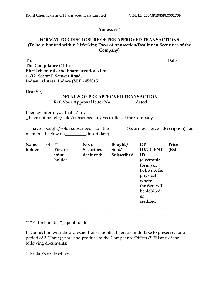#### **Annexure 4**

#### **FORMAT FOR DISCLOSURE OF PRE-APPROVED TRANSACTIONS (To be submitted within 2 Working Days of transaction/Dealing in Securities of the Company)**

**To, Date: The Compliance Officer Biofil chemicals and Pharmaceuticals Ltd 11/12, Sector E Sanwer Road, Industrial Area, Indore (M.P.) 452015**

Dear Sir,

#### **DETAILS OF PRE-APPROVED TRANSACTION Ref: Your Approval letter No. \_\_\_\_\_\_\_\_\_\_\_dated \_\_\_\_\_\_\_\_**

I hereby inform you that I  $/$  my  $\_\_$ \_ have not bought/sold/subscribed any Securities of the Company

\_ have bought/sold/subscribed to the \_\_\_\_\_\_\_Securities (give description) as mentioned below on (insert date)

| Name   | of | **       | No. of            | Bought/    | DP               | Price |
|--------|----|----------|-------------------|------------|------------------|-------|
| holder |    | First or | <b>Securities</b> | Sold/      | <b>ID/CLIENT</b> | (Rs)  |
|        |    | joint    | dealt with        | Subscribed | ID               |       |
|        |    | holder   |                   |            | (electronic      |       |
|        |    |          |                   |            | form) or         |       |
|        |    |          |                   |            | Folio no. for    |       |
|        |    |          |                   |            | physical         |       |
|        |    |          |                   |            | where            |       |
|        |    |          |                   |            | the Sec. will    |       |
|        |    |          |                   |            | be debited       |       |
|        |    |          |                   |            | <b>or</b>        |       |
|        |    |          |                   |            | credited         |       |
|        |    |          |                   |            |                  |       |
|        |    |          |                   |            |                  |       |

\*\* "F" first holder "J" joint holder

In connection with the aforesaid transaction(s), I hereby undertake to preserve, for a period of 3 (Three) years and produce to the Compliance Officer/SEBI any of the following documents:

1. Broker"s contract note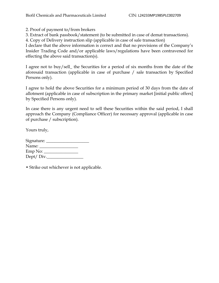2. Proof of payment to/from brokers

3. Extract of bank passbook/statement (to be submitted in case of demat transactions).

4. Copy of Delivery instruction slip (applicable in case of sale transaction)

I declare that the above information is correct and that no provisions of the Company"s Insider Trading Code and/or applicable laws/regulations have been contravened for effecting the above said transaction(s).

I agree not to buy/sell\_ the Securities for a period of six months from the date of the aforesaid transaction (applicable in case of purchase / sale transaction by Specified Persons only).

I agree to hold the above Securities for a minimum period of 30 days from the date of allotment (applicable in case of subscription in the primary market [initial public offers] by Specified Persons only).

In case there is any urgent need to sell these Securities within the said period, I shall approach the Company (Compliance Officer) for necessary approval (applicable in case of purchase / subscription).

Yours truly,

| Signature: __ |  |
|---------------|--|
| Name:         |  |
| Emp No:       |  |
| Dept/Div.     |  |
|               |  |

• Strike out whichever is not applicable.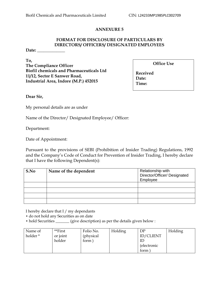# **FORMAT FOR DISCLOSURE OF PARTICULARS BY DIRECTORS/ OFFICERS/ DESIGNATED EMPLOYEES**

**Date: \_\_\_\_\_\_\_\_\_\_\_\_\_**

**To, The Compliance Officer Biofil chemicals and Pharmaceuticals Ltd 11/12, Sector E Sanwer Road, Industrial Area, Indore (M.P.) 452015**

**Office Use** 

**Received Date: Time:** 

**Dear Sir,**

My personal details are as under

Name of the Director/ Designated Employee/ Officer:

Department:

Date of Appointment:

Pursuant to the provisions of SEBI (Prohibition of Insider Trading) Regulations, 1992 and the Company"s Code of Conduct for Prevention of Insider Trading, I hereby declare that I have the following Dependent(s):

| S.No | Name of the dependent | Relationship with<br>Director/Officer/ Designated<br>Employee |
|------|-----------------------|---------------------------------------------------------------|
|      |                       |                                                               |
|      |                       |                                                               |
|      |                       |                                                               |
|      |                       |                                                               |

I hereby declare that I / my dependants

- do not hold any Securities as on date
- hold Securities \_\_\_\_\_\_\_ (give description) as per the details given below :

| Name of  | **First  | Folio No.  | Holding | DP                  | Holding |
|----------|----------|------------|---------|---------------------|---------|
| holder * | or joint | (physical) |         | <b>ID/CLIENT</b>    |         |
|          | holder   | form       |         |                     |         |
|          |          |            |         | <i>(electronic)</i> |         |
|          |          |            |         | form                |         |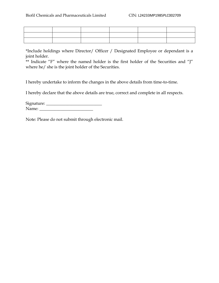\*Include holdings where Director/ Officer / Designated Employee or dependant is a joint holder.

\*\* Indicate "F" where the named holder is the first holder of the Securities and "J" where he/ she is the joint holder of the Securities.

I hereby undertake to inform the changes in the above details from time-to-time.

I hereby declare that the above details are true, correct and complete in all respects.

| Signature: |  |
|------------|--|
| Name:      |  |

Note: Please do not submit through electronic mail.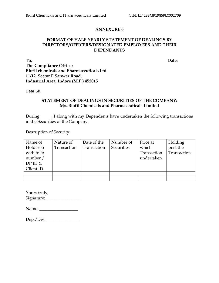#### **FORMAT OF HALF-YEARLY STATEMENT OF DEALINGS BY DIRECTORS/OFFICERS/DESIGNATED EMPLOYEES AND THEIR DEPENDANTS**

**To, Date: The Compliance Officer Biofil chemicals and Pharmaceuticals Ltd 11/12, Sector E Sanwer Road, Industrial Area, Indore (M.P.) 452015**

Dear Sir,

#### **STATEMENT OF DEALINGS IN SECURITIES OF THE COMPANY: M/s Biofil Chemicals and Pharmaceuticals Limited**

During \_\_\_\_\_, I along with my Dependents have undertaken the following transactions in the Securities of the Company.

Description of Security:

| Name of    | Nature of   | Date of the | Number of  | Price at    | Holding     |
|------------|-------------|-------------|------------|-------------|-------------|
| Holder(s)  | Transaction | Transaction | Securities | which       | post the    |
| with folio |             |             |            | Transaction | Transaction |
| number /   |             |             |            | undertaken  |             |
| DPID &     |             |             |            |             |             |
| Client ID  |             |             |            |             |             |
|            |             |             |            |             |             |
|            |             |             |            |             |             |

| Yours truly, |  |
|--------------|--|
| Signature:   |  |

Name: \_\_\_\_\_\_\_\_\_\_\_\_\_\_\_\_\_\_

| Dep./Div. |  |
|-----------|--|
|           |  |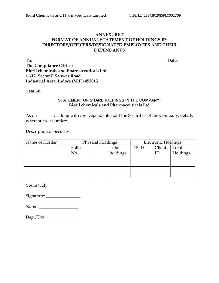#### **ANNEXURE 7 FORMAT OF ANNUAL STATEMENT OF HOLDINGS BY DIRECTORS/OFFICERS/DESIGNATED EMPLOYEES AND THEIR DEPENDANTS**

**To, Date: The Compliance Officer Biofil chemicals and Pharmaceuticals Ltd 11/12, Sector E Sanwer Road, Industrial Area, Indore (M.P.) 452015**

Dear Sir,

#### **STATEMENT OF SHAREHOLDINGS IN THE COMPANY: Biofil chemicals and Pharmaceuticals Ltd**

As on \_\_\_\_\_ , I along with my Dependents hold the Securities of the Company, details whereof are as under:

Description of Security:

| Name of Holder | Physical Holdings |  |          | <b>Electronic Holdings</b> |        |          |
|----------------|-------------------|--|----------|----------------------------|--------|----------|
|                | Folio             |  | Total    | DPID                       | Client | Total    |
|                | No.               |  | holdings |                            | ID     | Holdings |
|                |                   |  |          |                            |        |          |
|                |                   |  |          |                            |        |          |
|                |                   |  |          |                            |        |          |
|                |                   |  |          |                            |        |          |

Yours truly,

Signature: \_\_\_\_\_\_\_\_\_\_\_\_\_\_\_\_

Name: \_\_\_\_\_\_\_\_\_\_\_\_\_\_\_\_\_\_

| Dep./Div. |  |  |
|-----------|--|--|
|           |  |  |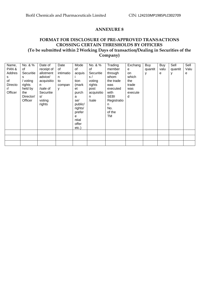# **FORMAT FOR DISCLOSURE OF PRE-APPROVED TRANSACTIONS CROSSING CERTAIN THRESHOLDS BY OFFICERS (To be submitted within 2 Working Days of transaction/Dealing in Securities of the Company)**

| Name,<br>PAN&<br>Addres<br>S.<br>of<br>Directo<br>r/<br>Officer | No. & %<br>of<br>Securitie<br>s<br>/ voting<br>rights<br>held by<br>the<br>Director/<br>Officer | Date of<br>receipt of<br>allotment<br>advice/<br>acquisitio<br>n<br>/sale of<br>Securitie<br>s/<br>voting<br>rights | Date<br>of<br>intimatio<br>n.<br>to<br>compan<br>v | Mode<br>0f<br>acquis<br>tion<br>(mark<br>et<br>purch<br>a<br>se/<br>public/<br>rights/<br>prefer<br>$\mathbf{e}$<br>ntial<br>offer<br>$etc.$ ) | No. & %<br>of<br>Securitie<br>s/<br>voting<br>rights<br>post<br>acquisitio<br>n.<br>/sale | Trading<br>member<br>through<br>whom<br>the trade<br>was<br>executed<br>with<br><b>SEBI</b><br>Registratio<br>n<br>No.<br>of the<br>TM | Exchang<br>e<br>on<br>which<br>the<br>trade<br>was<br>execute<br>d | Buy<br>quantit<br>y | Buy<br>valu<br>е | Sell<br>quantit<br>у | Sell<br>Valu<br>е |
|-----------------------------------------------------------------|-------------------------------------------------------------------------------------------------|---------------------------------------------------------------------------------------------------------------------|----------------------------------------------------|------------------------------------------------------------------------------------------------------------------------------------------------|-------------------------------------------------------------------------------------------|----------------------------------------------------------------------------------------------------------------------------------------|--------------------------------------------------------------------|---------------------|------------------|----------------------|-------------------|
|                                                                 |                                                                                                 |                                                                                                                     |                                                    |                                                                                                                                                |                                                                                           |                                                                                                                                        |                                                                    |                     |                  |                      |                   |
|                                                                 |                                                                                                 |                                                                                                                     |                                                    |                                                                                                                                                |                                                                                           |                                                                                                                                        |                                                                    |                     |                  |                      |                   |